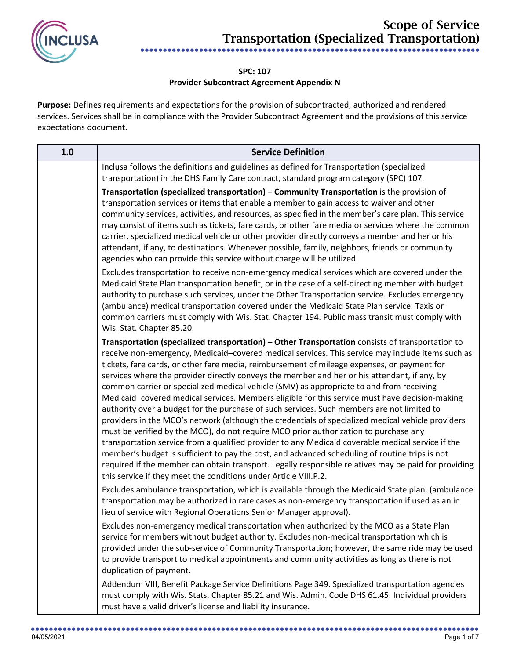

## **SPC: 107 Provider Subcontract Agreement Appendix N**

**Purpose:** Defines requirements and expectations for the provision of subcontracted, authorized and rendered services. Services shall be in compliance with the Provider Subcontract Agreement and the provisions of this service expectations document.

| 1.0 | <b>Service Definition</b>                                                                                                                                                                                                                                                                                                                                                                                                                                                                                                                                                                                                                                                                                                                                                                                                                                                                                                                                                                                                                                                                                                                                                                                                                                                       |
|-----|---------------------------------------------------------------------------------------------------------------------------------------------------------------------------------------------------------------------------------------------------------------------------------------------------------------------------------------------------------------------------------------------------------------------------------------------------------------------------------------------------------------------------------------------------------------------------------------------------------------------------------------------------------------------------------------------------------------------------------------------------------------------------------------------------------------------------------------------------------------------------------------------------------------------------------------------------------------------------------------------------------------------------------------------------------------------------------------------------------------------------------------------------------------------------------------------------------------------------------------------------------------------------------|
|     | Inclusa follows the definitions and guidelines as defined for Transportation (specialized<br>transportation) in the DHS Family Care contract, standard program category (SPC) 107.                                                                                                                                                                                                                                                                                                                                                                                                                                                                                                                                                                                                                                                                                                                                                                                                                                                                                                                                                                                                                                                                                              |
|     | Transportation (specialized transportation) - Community Transportation is the provision of<br>transportation services or items that enable a member to gain access to waiver and other<br>community services, activities, and resources, as specified in the member's care plan. This service<br>may consist of items such as tickets, fare cards, or other fare media or services where the common<br>carrier, specialized medical vehicle or other provider directly conveys a member and her or his<br>attendant, if any, to destinations. Whenever possible, family, neighbors, friends or community<br>agencies who can provide this service without charge will be utilized.                                                                                                                                                                                                                                                                                                                                                                                                                                                                                                                                                                                              |
|     | Excludes transportation to receive non-emergency medical services which are covered under the<br>Medicaid State Plan transportation benefit, or in the case of a self-directing member with budget<br>authority to purchase such services, under the Other Transportation service. Excludes emergency<br>(ambulance) medical transportation covered under the Medicaid State Plan service. Taxis or<br>common carriers must comply with Wis. Stat. Chapter 194. Public mass transit must comply with<br>Wis. Stat. Chapter 85.20.                                                                                                                                                                                                                                                                                                                                                                                                                                                                                                                                                                                                                                                                                                                                               |
|     | Transportation (specialized transportation) - Other Transportation consists of transportation to<br>receive non-emergency, Medicaid-covered medical services. This service may include items such as<br>tickets, fare cards, or other fare media, reimbursement of mileage expenses, or payment for<br>services where the provider directly conveys the member and her or his attendant, if any, by<br>common carrier or specialized medical vehicle (SMV) as appropriate to and from receiving<br>Medicaid-covered medical services. Members eligible for this service must have decision-making<br>authority over a budget for the purchase of such services. Such members are not limited to<br>providers in the MCO's network (although the credentials of specialized medical vehicle providers<br>must be verified by the MCO), do not require MCO prior authorization to purchase any<br>transportation service from a qualified provider to any Medicaid coverable medical service if the<br>member's budget is sufficient to pay the cost, and advanced scheduling of routine trips is not<br>required if the member can obtain transport. Legally responsible relatives may be paid for providing<br>this service if they meet the conditions under Article VIII.P.2. |
|     | Excludes ambulance transportation, which is available through the Medicaid State plan. (ambulance<br>transportation may be authorized in rare cases as non-emergency transportation if used as an in<br>lieu of service with Regional Operations Senior Manager approval).                                                                                                                                                                                                                                                                                                                                                                                                                                                                                                                                                                                                                                                                                                                                                                                                                                                                                                                                                                                                      |
|     | Excludes non-emergency medical transportation when authorized by the MCO as a State Plan<br>service for members without budget authority. Excludes non-medical transportation which is<br>provided under the sub-service of Community Transportation; however, the same ride may be used<br>to provide transport to medical appointments and community activities as long as there is not<br>duplication of payment.                                                                                                                                                                                                                                                                                                                                                                                                                                                                                                                                                                                                                                                                                                                                                                                                                                                            |
|     | Addendum VIII, Benefit Package Service Definitions Page 349. Specialized transportation agencies<br>must comply with Wis. Stats. Chapter 85.21 and Wis. Admin. Code DHS 61.45. Individual providers<br>must have a valid driver's license and liability insurance.                                                                                                                                                                                                                                                                                                                                                                                                                                                                                                                                                                                                                                                                                                                                                                                                                                                                                                                                                                                                              |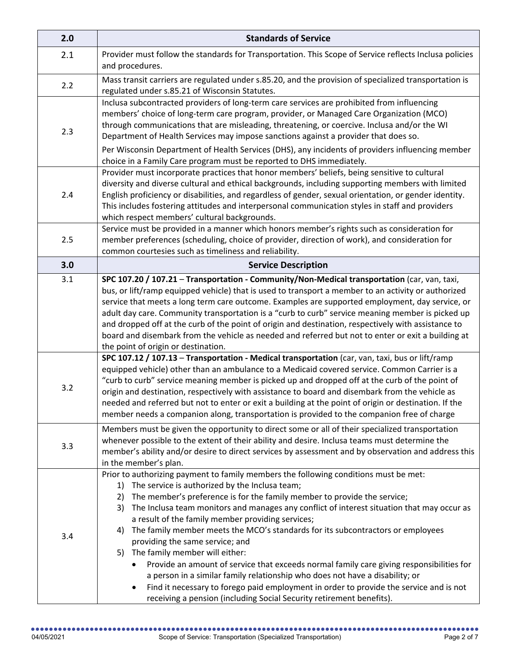| 2.0 | <b>Standards of Service</b>                                                                                                                                                                                                                                                                                                                                                                                                                                                                                                                                                                                                                                                                                                                                                                                                                                                                                 |
|-----|-------------------------------------------------------------------------------------------------------------------------------------------------------------------------------------------------------------------------------------------------------------------------------------------------------------------------------------------------------------------------------------------------------------------------------------------------------------------------------------------------------------------------------------------------------------------------------------------------------------------------------------------------------------------------------------------------------------------------------------------------------------------------------------------------------------------------------------------------------------------------------------------------------------|
| 2.1 | Provider must follow the standards for Transportation. This Scope of Service reflects Inclusa policies<br>and procedures.                                                                                                                                                                                                                                                                                                                                                                                                                                                                                                                                                                                                                                                                                                                                                                                   |
| 2.2 | Mass transit carriers are regulated under s.85.20, and the provision of specialized transportation is<br>regulated under s.85.21 of Wisconsin Statutes.                                                                                                                                                                                                                                                                                                                                                                                                                                                                                                                                                                                                                                                                                                                                                     |
| 2.3 | Inclusa subcontracted providers of long-term care services are prohibited from influencing<br>members' choice of long-term care program, provider, or Managed Care Organization (MCO)<br>through communications that are misleading, threatening, or coercive. Inclusa and/or the WI<br>Department of Health Services may impose sanctions against a provider that does so.<br>Per Wisconsin Department of Health Services (DHS), any incidents of providers influencing member                                                                                                                                                                                                                                                                                                                                                                                                                             |
|     | choice in a Family Care program must be reported to DHS immediately.                                                                                                                                                                                                                                                                                                                                                                                                                                                                                                                                                                                                                                                                                                                                                                                                                                        |
| 2.4 | Provider must incorporate practices that honor members' beliefs, being sensitive to cultural<br>diversity and diverse cultural and ethical backgrounds, including supporting members with limited<br>English proficiency or disabilities, and regardless of gender, sexual orientation, or gender identity.<br>This includes fostering attitudes and interpersonal communication styles in staff and providers<br>which respect members' cultural backgrounds.                                                                                                                                                                                                                                                                                                                                                                                                                                              |
| 2.5 | Service must be provided in a manner which honors member's rights such as consideration for<br>member preferences (scheduling, choice of provider, direction of work), and consideration for<br>common courtesies such as timeliness and reliability.                                                                                                                                                                                                                                                                                                                                                                                                                                                                                                                                                                                                                                                       |
| 3.0 | <b>Service Description</b>                                                                                                                                                                                                                                                                                                                                                                                                                                                                                                                                                                                                                                                                                                                                                                                                                                                                                  |
| 3.1 | SPC 107.20 / 107.21 - Transportation - Community/Non-Medical transportation (car, van, taxi,<br>bus, or lift/ramp equipped vehicle) that is used to transport a member to an activity or authorized<br>service that meets a long term care outcome. Examples are supported employment, day service, or<br>adult day care. Community transportation is a "curb to curb" service meaning member is picked up<br>and dropped off at the curb of the point of origin and destination, respectively with assistance to<br>board and disembark from the vehicle as needed and referred but not to enter or exit a building at                                                                                                                                                                                                                                                                                     |
|     | the point of origin or destination.                                                                                                                                                                                                                                                                                                                                                                                                                                                                                                                                                                                                                                                                                                                                                                                                                                                                         |
| 3.2 | SPC 107.12 / 107.13 - Transportation - Medical transportation (car, van, taxi, bus or lift/ramp<br>equipped vehicle) other than an ambulance to a Medicaid covered service. Common Carrier is a<br>"curb to curb" service meaning member is picked up and dropped off at the curb of the point of<br>origin and destination, respectively with assistance to board and disembark from the vehicle as<br>needed and referred but not to enter or exit a building at the point of origin or destination. If the<br>member needs a companion along, transportation is provided to the companion free of charge                                                                                                                                                                                                                                                                                                 |
| 3.3 | Members must be given the opportunity to direct some or all of their specialized transportation<br>whenever possible to the extent of their ability and desire. Inclusa teams must determine the<br>member's ability and/or desire to direct services by assessment and by observation and address this<br>in the member's plan.                                                                                                                                                                                                                                                                                                                                                                                                                                                                                                                                                                            |
| 3.4 | Prior to authorizing payment to family members the following conditions must be met:<br>The service is authorized by the Inclusa team;<br>1)<br>The member's preference is for the family member to provide the service;<br>2)<br>The Inclusa team monitors and manages any conflict of interest situation that may occur as<br>3)<br>a result of the family member providing services;<br>The family member meets the MCO's standards for its subcontractors or employees<br>4)<br>providing the same service; and<br>5) The family member will either:<br>Provide an amount of service that exceeds normal family care giving responsibilities for<br>a person in a similar family relationship who does not have a disability; or<br>Find it necessary to forego paid employment in order to provide the service and is not<br>٠<br>receiving a pension (including Social Security retirement benefits). |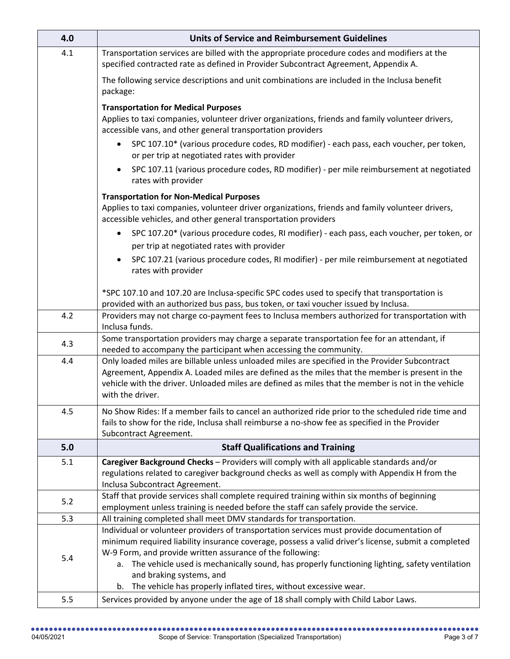| 4.0 | <b>Units of Service and Reimbursement Guidelines</b>                                                                                                                                                 |
|-----|------------------------------------------------------------------------------------------------------------------------------------------------------------------------------------------------------|
| 4.1 | Transportation services are billed with the appropriate procedure codes and modifiers at the<br>specified contracted rate as defined in Provider Subcontract Agreement, Appendix A.                  |
|     | The following service descriptions and unit combinations are included in the Inclusa benefit<br>package:                                                                                             |
|     | <b>Transportation for Medical Purposes</b>                                                                                                                                                           |
|     | Applies to taxi companies, volunteer driver organizations, friends and family volunteer drivers,<br>accessible vans, and other general transportation providers                                      |
|     | SPC 107.10* (various procedure codes, RD modifier) - each pass, each voucher, per token,<br>or per trip at negotiated rates with provider                                                            |
|     | SPC 107.11 (various procedure codes, RD modifier) - per mile reimbursement at negotiated<br>rates with provider                                                                                      |
|     | <b>Transportation for Non-Medical Purposes</b>                                                                                                                                                       |
|     | Applies to taxi companies, volunteer driver organizations, friends and family volunteer drivers,<br>accessible vehicles, and other general transportation providers                                  |
|     | SPC 107.20* (various procedure codes, RI modifier) - each pass, each voucher, per token, or                                                                                                          |
|     | per trip at negotiated rates with provider                                                                                                                                                           |
|     | SPC 107.21 (various procedure codes, RI modifier) - per mile reimbursement at negotiated<br>rates with provider                                                                                      |
|     | *SPC 107.10 and 107.20 are Inclusa-specific SPC codes used to specify that transportation is                                                                                                         |
|     | provided with an authorized bus pass, bus token, or taxi voucher issued by Inclusa.                                                                                                                  |
| 4.2 | Providers may not charge co-payment fees to Inclusa members authorized for transportation with                                                                                                       |
|     | Inclusa funds.                                                                                                                                                                                       |
| 4.3 | Some transportation providers may charge a separate transportation fee for an attendant, if                                                                                                          |
|     | needed to accompany the participant when accessing the community.                                                                                                                                    |
| 4.4 | Only loaded miles are billable unless unloaded miles are specified in the Provider Subcontract                                                                                                       |
|     | Agreement, Appendix A. Loaded miles are defined as the miles that the member is present in the<br>vehicle with the driver. Unloaded miles are defined as miles that the member is not in the vehicle |
|     | with the driver.                                                                                                                                                                                     |
|     |                                                                                                                                                                                                      |
| 4.5 | No Show Rides: If a member fails to cancel an authorized ride prior to the scheduled ride time and                                                                                                   |
|     | fails to show for the ride, Inclusa shall reimburse a no-show fee as specified in the Provider                                                                                                       |
|     | Subcontract Agreement.                                                                                                                                                                               |
| 5.0 | <b>Staff Qualifications and Training</b>                                                                                                                                                             |
| 5.1 | Caregiver Background Checks - Providers will comply with all applicable standards and/or                                                                                                             |
|     | regulations related to caregiver background checks as well as comply with Appendix H from the                                                                                                        |
|     | Inclusa Subcontract Agreement.                                                                                                                                                                       |
| 5.2 | Staff that provide services shall complete required training within six months of beginning                                                                                                          |
|     | employment unless training is needed before the staff can safely provide the service.                                                                                                                |
| 5.3 | All training completed shall meet DMV standards for transportation.<br>Individual or volunteer providers of transportation services must provide documentation of                                    |
|     | minimum required liability insurance coverage, possess a valid driver's license, submit a completed                                                                                                  |
|     | W-9 Form, and provide written assurance of the following:                                                                                                                                            |
| 5.4 | The vehicle used is mechanically sound, has properly functioning lighting, safety ventilation<br>а.                                                                                                  |
|     | and braking systems, and                                                                                                                                                                             |
|     | The vehicle has properly inflated tires, without excessive wear.<br>b.                                                                                                                               |
| 5.5 | Services provided by anyone under the age of 18 shall comply with Child Labor Laws.                                                                                                                  |
|     |                                                                                                                                                                                                      |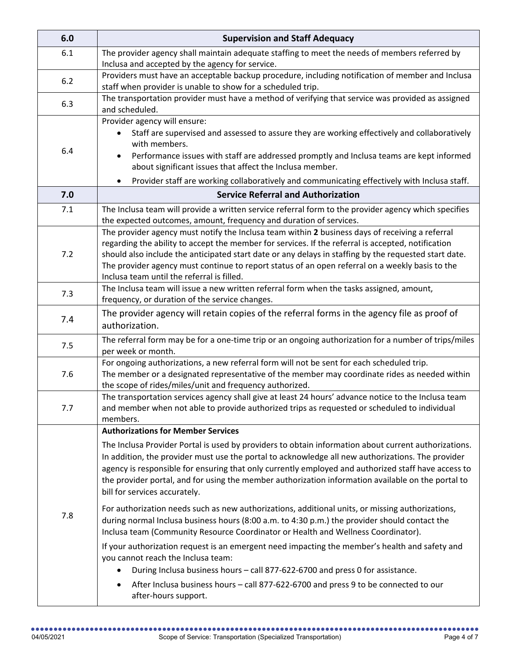| 6.0 | <b>Supervision and Staff Adequacy</b>                                                                                                                                                                                                                                                                                                                                                                                                                           |
|-----|-----------------------------------------------------------------------------------------------------------------------------------------------------------------------------------------------------------------------------------------------------------------------------------------------------------------------------------------------------------------------------------------------------------------------------------------------------------------|
| 6.1 | The provider agency shall maintain adequate staffing to meet the needs of members referred by                                                                                                                                                                                                                                                                                                                                                                   |
| 6.2 | Inclusa and accepted by the agency for service.<br>Providers must have an acceptable backup procedure, including notification of member and Inclusa<br>staff when provider is unable to show for a scheduled trip.                                                                                                                                                                                                                                              |
| 6.3 | The transportation provider must have a method of verifying that service was provided as assigned<br>and scheduled.                                                                                                                                                                                                                                                                                                                                             |
| 6.4 | Provider agency will ensure:<br>Staff are supervised and assessed to assure they are working effectively and collaboratively<br>with members.<br>Performance issues with staff are addressed promptly and Inclusa teams are kept informed<br>about significant issues that affect the Inclusa member.<br>Provider staff are working collaboratively and communicating effectively with Inclusa staff.<br>$\bullet$                                              |
| 7.0 | <b>Service Referral and Authorization</b>                                                                                                                                                                                                                                                                                                                                                                                                                       |
| 7.1 | The Inclusa team will provide a written service referral form to the provider agency which specifies<br>the expected outcomes, amount, frequency and duration of services.                                                                                                                                                                                                                                                                                      |
| 7.2 | The provider agency must notify the Inclusa team within 2 business days of receiving a referral<br>regarding the ability to accept the member for services. If the referral is accepted, notification<br>should also include the anticipated start date or any delays in staffing by the requested start date.<br>The provider agency must continue to report status of an open referral on a weekly basis to the<br>Inclusa team until the referral is filled. |
| 7.3 | The Inclusa team will issue a new written referral form when the tasks assigned, amount,<br>frequency, or duration of the service changes.                                                                                                                                                                                                                                                                                                                      |
| 7.4 | The provider agency will retain copies of the referral forms in the agency file as proof of<br>authorization.                                                                                                                                                                                                                                                                                                                                                   |
| 7.5 | The referral form may be for a one-time trip or an ongoing authorization for a number of trips/miles<br>per week or month.                                                                                                                                                                                                                                                                                                                                      |
| 7.6 | For ongoing authorizations, a new referral form will not be sent for each scheduled trip.<br>The member or a designated representative of the member may coordinate rides as needed within<br>the scope of rides/miles/unit and frequency authorized.                                                                                                                                                                                                           |
| 7.7 | The transportation services agency shall give at least 24 hours' advance notice to the Inclusa team<br>and member when not able to provide authorized trips as requested or scheduled to individual<br>members.                                                                                                                                                                                                                                                 |
|     | <b>Authorizations for Member Services</b>                                                                                                                                                                                                                                                                                                                                                                                                                       |
| 7.8 | The Inclusa Provider Portal is used by providers to obtain information about current authorizations.<br>In addition, the provider must use the portal to acknowledge all new authorizations. The provider<br>agency is responsible for ensuring that only currently employed and authorized staff have access to<br>the provider portal, and for using the member authorization information available on the portal to<br>bill for services accurately.         |
|     | For authorization needs such as new authorizations, additional units, or missing authorizations,<br>during normal Inclusa business hours (8:00 a.m. to 4:30 p.m.) the provider should contact the<br>Inclusa team (Community Resource Coordinator or Health and Wellness Coordinator).                                                                                                                                                                          |
|     | If your authorization request is an emergent need impacting the member's health and safety and<br>you cannot reach the Inclusa team:<br>During Inclusa business hours - call 877-622-6700 and press 0 for assistance.                                                                                                                                                                                                                                           |
|     | After Inclusa business hours - call 877-622-6700 and press 9 to be connected to our<br>after-hours support.                                                                                                                                                                                                                                                                                                                                                     |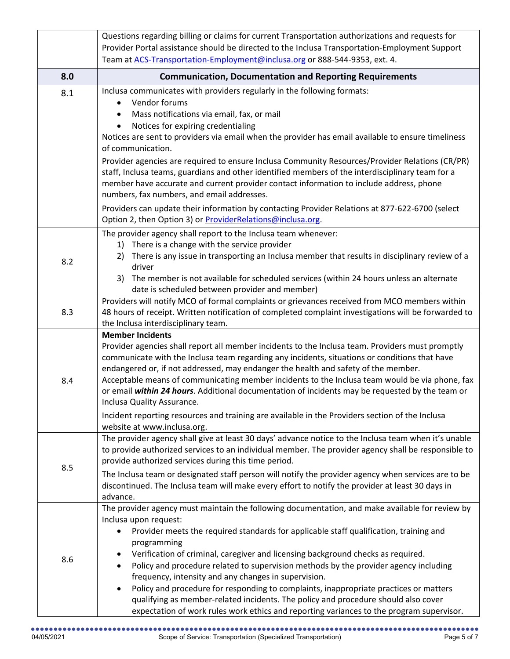|     | Questions regarding billing or claims for current Transportation authorizations and requests for                                                                                     |
|-----|--------------------------------------------------------------------------------------------------------------------------------------------------------------------------------------|
|     | Provider Portal assistance should be directed to the Inclusa Transportation-Employment Support                                                                                       |
|     | Team at ACS-Transportation-Employment@inclusa.org or 888-544-9353, ext. 4.                                                                                                           |
| 8.0 | <b>Communication, Documentation and Reporting Requirements</b>                                                                                                                       |
| 8.1 | Inclusa communicates with providers regularly in the following formats:                                                                                                              |
|     | Vendor forums<br>$\bullet$                                                                                                                                                           |
|     | Mass notifications via email, fax, or mail                                                                                                                                           |
|     | Notices for expiring credentialing                                                                                                                                                   |
|     | Notices are sent to providers via email when the provider has email available to ensure timeliness<br>of communication.                                                              |
|     | Provider agencies are required to ensure Inclusa Community Resources/Provider Relations (CR/PR)                                                                                      |
|     | staff, Inclusa teams, guardians and other identified members of the interdisciplinary team for a                                                                                     |
|     | member have accurate and current provider contact information to include address, phone                                                                                              |
|     | numbers, fax numbers, and email addresses.                                                                                                                                           |
|     | Providers can update their information by contacting Provider Relations at 877-622-6700 (select                                                                                      |
|     | Option 2, then Option 3) or ProviderRelations@inclusa.org.                                                                                                                           |
|     | The provider agency shall report to the Inclusa team whenever:                                                                                                                       |
|     | There is a change with the service provider<br>1)                                                                                                                                    |
| 8.2 | There is any issue in transporting an Inclusa member that results in disciplinary review of a<br>2)                                                                                  |
|     | driver                                                                                                                                                                               |
|     | The member is not available for scheduled services (within 24 hours unless an alternate<br>3)<br>date is scheduled between provider and member)                                      |
|     | Providers will notify MCO of formal complaints or grievances received from MCO members within                                                                                        |
| 8.3 | 48 hours of receipt. Written notification of completed complaint investigations will be forwarded to                                                                                 |
|     | the Inclusa interdisciplinary team.                                                                                                                                                  |
|     | <b>Member Incidents</b>                                                                                                                                                              |
|     | Provider agencies shall report all member incidents to the Inclusa team. Providers must promptly                                                                                     |
|     | communicate with the Inclusa team regarding any incidents, situations or conditions that have                                                                                        |
|     | endangered or, if not addressed, may endanger the health and safety of the member.<br>Acceptable means of communicating member incidents to the Inclusa team would be via phone, fax |
| 8.4 | or email within 24 hours. Additional documentation of incidents may be requested by the team or                                                                                      |
|     | Inclusa Quality Assurance.                                                                                                                                                           |
|     | Incident reporting resources and training are available in the Providers section of the Inclusa                                                                                      |
|     | website at www.inclusa.org.                                                                                                                                                          |
|     | The provider agency shall give at least 30 days' advance notice to the Inclusa team when it's unable                                                                                 |
|     | to provide authorized services to an individual member. The provider agency shall be responsible to                                                                                  |
| 8.5 | provide authorized services during this time period.                                                                                                                                 |
|     | The Inclusa team or designated staff person will notify the provider agency when services are to be                                                                                  |
|     | discontinued. The Inclusa team will make every effort to notify the provider at least 30 days in<br>advance.                                                                         |
|     | The provider agency must maintain the following documentation, and make available for review by                                                                                      |
|     | Inclusa upon request:                                                                                                                                                                |
|     | Provider meets the required standards for applicable staff qualification, training and                                                                                               |
| 8.6 | programming                                                                                                                                                                          |
|     | Verification of criminal, caregiver and licensing background checks as required.                                                                                                     |
|     | Policy and procedure related to supervision methods by the provider agency including<br>٠                                                                                            |
|     | frequency, intensity and any changes in supervision.                                                                                                                                 |
|     | Policy and procedure for responding to complaints, inappropriate practices or matters<br>qualifying as member-related incidents. The policy and procedure should also cover          |
|     |                                                                                                                                                                                      |
|     | expectation of work rules work ethics and reporting variances to the program supervisor.                                                                                             |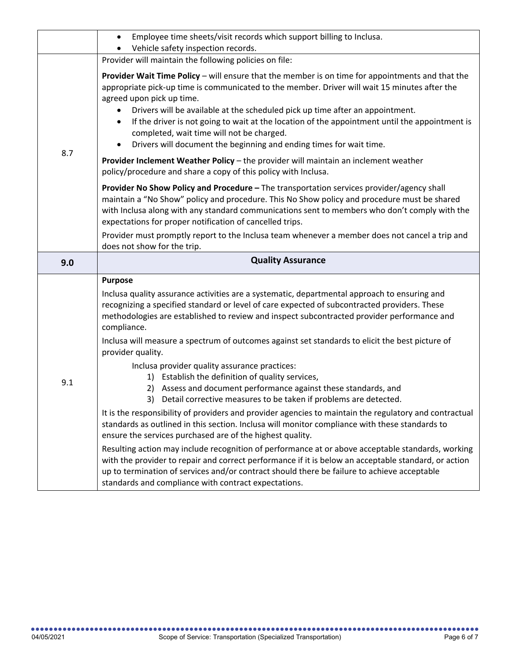|     | Employee time sheets/visit records which support billing to Inclusa.<br>$\bullet$                                                                                                                                                                                                                                                                                                                                                                                                                                                                       |
|-----|---------------------------------------------------------------------------------------------------------------------------------------------------------------------------------------------------------------------------------------------------------------------------------------------------------------------------------------------------------------------------------------------------------------------------------------------------------------------------------------------------------------------------------------------------------|
|     | Vehicle safety inspection records.<br>Provider will maintain the following policies on file:                                                                                                                                                                                                                                                                                                                                                                                                                                                            |
| 8.7 | Provider Wait Time Policy - will ensure that the member is on time for appointments and that the<br>appropriate pick-up time is communicated to the member. Driver will wait 15 minutes after the<br>agreed upon pick up time.<br>Drivers will be available at the scheduled pick up time after an appointment.<br>٠<br>If the driver is not going to wait at the location of the appointment until the appointment is<br>$\bullet$<br>completed, wait time will not be charged.<br>Drivers will document the beginning and ending times for wait time. |
|     | Provider Inclement Weather Policy - the provider will maintain an inclement weather<br>policy/procedure and share a copy of this policy with Inclusa.                                                                                                                                                                                                                                                                                                                                                                                                   |
|     | Provider No Show Policy and Procedure - The transportation services provider/agency shall<br>maintain a "No Show" policy and procedure. This No Show policy and procedure must be shared<br>with Inclusa along with any standard communications sent to members who don't comply with the<br>expectations for proper notification of cancelled trips.                                                                                                                                                                                                   |
|     | Provider must promptly report to the Inclusa team whenever a member does not cancel a trip and<br>does not show for the trip.                                                                                                                                                                                                                                                                                                                                                                                                                           |
| 9.0 | <b>Quality Assurance</b>                                                                                                                                                                                                                                                                                                                                                                                                                                                                                                                                |
| 9.1 | <b>Purpose</b><br>Inclusa quality assurance activities are a systematic, departmental approach to ensuring and<br>recognizing a specified standard or level of care expected of subcontracted providers. These<br>methodologies are established to review and inspect subcontracted provider performance and<br>compliance.<br>Inclusa will measure a spectrum of outcomes against set standards to elicit the best picture of<br>provider quality.                                                                                                     |
|     | Inclusa provider quality assurance practices:<br>1) Establish the definition of quality services,<br>2) Assess and document performance against these standards, and<br>Detail corrective measures to be taken if problems are detected.<br>3)<br>It is the responsibility of providers and provider agencies to maintain the regulatory and contractual<br>standards as outlined in this section. Inclusa will monitor compliance with these standards to                                                                                              |
|     |                                                                                                                                                                                                                                                                                                                                                                                                                                                                                                                                                         |